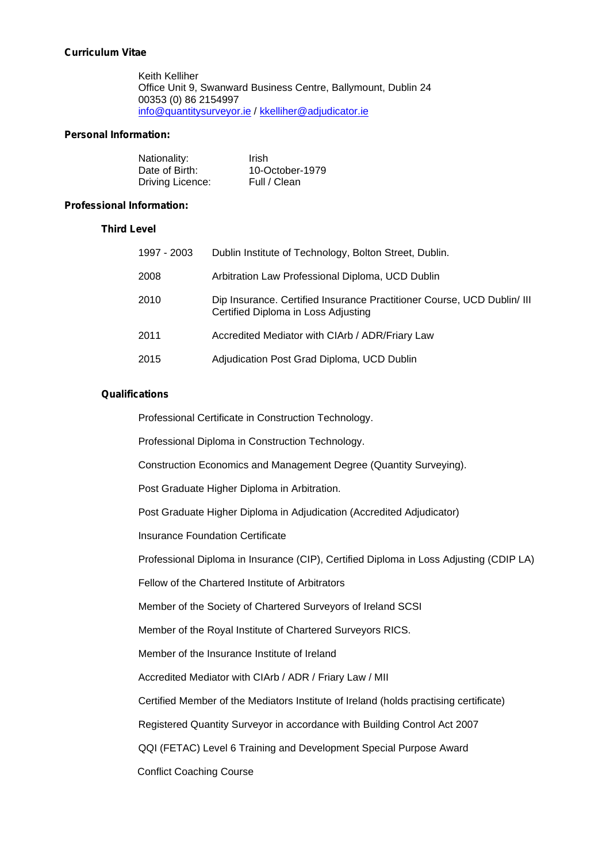# **Curriculum Vitae**

Keith Kelliher Office Unit9, Swanward Business Centre, Ballymount, Dublin 24 00353 (0) 86 2154997 info@quantitysurveyor.ie / kkelliher@adjudicator.ie

## **Personal Information:**

| Nationality:     | Irish           |
|------------------|-----------------|
| Date of Birth:   | 10-October-1979 |
| Driving Licence: | Full / Clean    |

#### **Professional Information:**

## **Third Level**

| 1997 - 2003 | Dublin Institute of Technology, Bolton Street, Dublin.                                                         |
|-------------|----------------------------------------------------------------------------------------------------------------|
| 2008        | Arbitration Law Professional Diploma, UCD Dublin                                                               |
| 2010        | Dip Insurance. Certified Insurance Practitioner Course, UCD Dublin/ III<br>Certified Diploma in Loss Adjusting |
| 2011        | Accredited Mediator with CIArb / ADR/Friary Law                                                                |
| 2015        | Adjudication Post Grad Diploma, UCD Dublin                                                                     |

#### **Qualifications**

Professional Certificate in Construction Technology.

Professional Diploma in Construction Technology.

Construction Economics and Management Degree (Quantity Surveying).

Post Graduate Higher Diploma in Arbitration.

Post Graduate Higher Diploma in Adjudication (Accredited Adjudicator)

Insurance Foundation Certificate

Professional Diploma in Insurance (CIP), Certified Diploma in Loss Adjusting (CDIP LA)

Fellow of the Chartered Institute of Arbitrators

Member of the Society of Chartered Surveyors of Ireland SCSI

Member of the Royal Institute of Chartered Surveyors RICS.

Member of the Insurance Institute of Ireland

Accredited Mediator with CIArb / ADR / Friary Law / MII

Certified Member of the Mediators Institute of Ireland (holds practising certificate)

Registered Quantity Surveyor in accordance with Building Control Act 2007

QQI (FETAC) Level 6 Training and Development Special Purpose Award

Conflict Coaching Course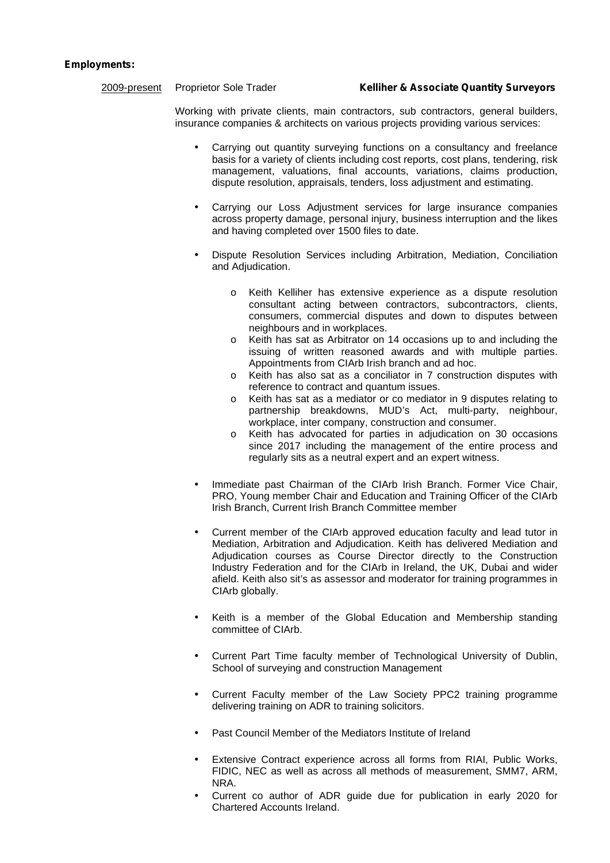#### **Employments:**

Working with private clients, main contractors, sub contractors, general builders, insurance companies & architects on various projects providing various services:

- Carrying out quantity surveying functions on a consultancy and freelance basis for a variety of clients including cost reports, cost plans, tendering, risk management, valuations, final accounts, variations, claims production, dispute resolution, appraisals, tenders, loss adjustment and estimating.
- Carrying our Loss Adjustment services for large insurance companies across property damage, personal injury, business interruption and the likes and having completed over 1500 files to date.
- Dispute Resolution Services including Arbitration, Mediation, Conciliation and Adjudication.
	- o Keith Kelliher has extensive experience as a dispute resolution consultant acting between contractors, subcontractors, clients, consumers, commercial disputes and down to disputes between neighbours and in workplaces.
	- o Keith has sat as Arbitrator on 14 occasions up to and including the issuing of written reasoned awards and with multiple parties. Appointments from CIArb Irish branch and ad hoc.
	- o Keith has also sat as a conciliator in 7 construction disputes with reference to contract and quantum issues.
	- o Keith has sat as a mediator or co mediator in 9 disputes relating to partnership breakdowns, MUD's Act, multi-party, neighbour, workplace, inter company, construction and consumer.
	- o Keith has advocated for parties in adjudication on 30 occasions since 2017 including the management of the entire process and regularly sits as a neutral expert and an expert witness.
- Immediate past Chairman of the CIArb Irish Branch. Former Vice Chair, PRO, Young member Chair and Education and Training Officer of the CIArb Irish Branch, Current Irish Branch Committee member
- Current member of the CIArb approved education faculty and lead tutor in Mediation, Arbitration and Adjudication. Keith has delivered Mediation and Adjudication courses as Course Director directly to the Construction Industry Federation and for the CIArb in Ireland, the UK, Dubai and wider afield. Keith also sit's as assessor and moderator for training programmes in CIArb globally.
- Keith is a member of the Global Education and Membership standing committee of CIArb.
- Current Part Time faculty member of Technological University of Dublin, School of surveying and construction Management
- Current Faculty member of the Law Society PPC2 training programme delivering training on ADR to training solicitors.
- Past Council Member of the Mediators Institute of Ireland
- Extensive Contract experience across all forms from RIAI, Public Works, FIDIC, NEC as well as across all methods of measurement, SMM7, ARM, NRA.
- Current co author of ADR guide due for publication in early 2020 for Chartered Accounts Ireland.